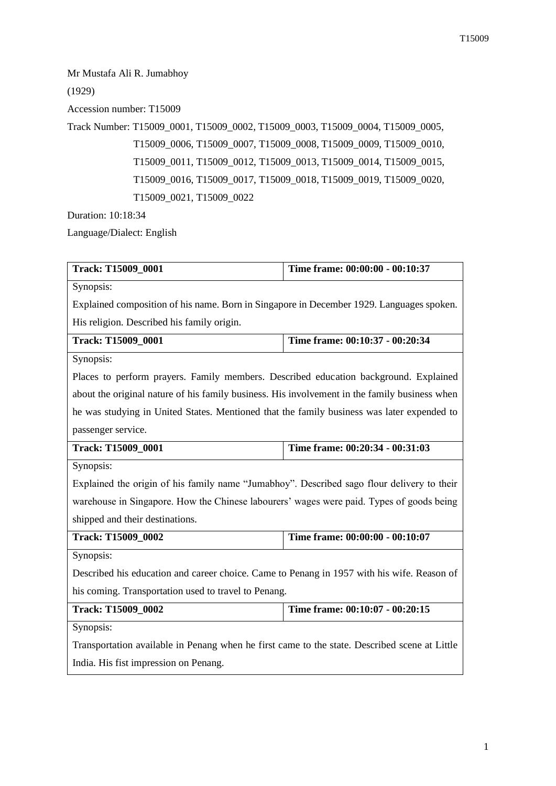Mr Mustafa Ali R. Jumabhoy

(1929)

Accession number: T15009

Track Number: T15009\_0001, T15009\_0002, T15009\_0003, T15009\_0004, T15009\_0005, T15009\_0006, T15009\_0007, T15009\_0008, T15009\_0009, T15009\_0010, T15009\_0011, T15009\_0012, T15009\_0013, T15009\_0014, T15009\_0015, T15009\_0016, T15009\_0017, T15009\_0018, T15009\_0019, T15009\_0020, T15009\_0021, T15009\_0022

Duration: 10:18:34

Language/Dialect: English

| Track: T15009_0001                                                                            | Time frame: 00:00:00 - 00:10:37 |
|-----------------------------------------------------------------------------------------------|---------------------------------|
| Synopsis:                                                                                     |                                 |
| Explained composition of his name. Born in Singapore in December 1929. Languages spoken.      |                                 |
| His religion. Described his family origin.                                                    |                                 |
| <b>Track: T15009_0001</b>                                                                     | Time frame: 00:10:37 - 00:20:34 |
| Synopsis:                                                                                     |                                 |
| Places to perform prayers. Family members. Described education background. Explained          |                                 |
| about the original nature of his family business. His involvement in the family business when |                                 |
| he was studying in United States. Mentioned that the family business was later expended to    |                                 |
| passenger service.                                                                            |                                 |
| Track: T15009_0001                                                                            | Time frame: 00:20:34 - 00:31:03 |
| Synopsis:                                                                                     |                                 |
| Explained the origin of his family name "Jumabhoy". Described sago flour delivery to their    |                                 |
| warehouse in Singapore. How the Chinese labourers' wages were paid. Types of goods being      |                                 |
| shipped and their destinations.                                                               |                                 |
| Track: T15009_0002                                                                            | Time frame: 00:00:00 - 00:10:07 |
| Synopsis:                                                                                     |                                 |
| Described his education and career choice. Came to Penang in 1957 with his wife. Reason of    |                                 |
| his coming. Transportation used to travel to Penang.                                          |                                 |
| Track: T15009_0002                                                                            | Time frame: 00:10:07 - 00:20:15 |
| Synopsis:                                                                                     |                                 |
| Transportation available in Penang when he first came to the state. Described scene at Little |                                 |
| India. His fist impression on Penang.                                                         |                                 |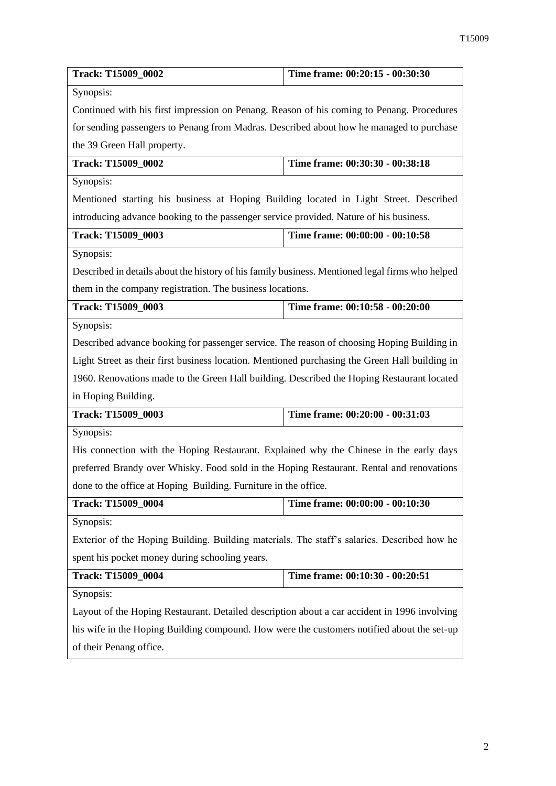| Track: T15009_0002                                                                              | Time frame: 00:20:15 - 00:30:30                                                             |  |
|-------------------------------------------------------------------------------------------------|---------------------------------------------------------------------------------------------|--|
| Synopsis:                                                                                       |                                                                                             |  |
| Continued with his first impression on Penang. Reason of his coming to Penang. Procedures       |                                                                                             |  |
| for sending passengers to Penang from Madras. Described about how he managed to purchase        |                                                                                             |  |
| the 39 Green Hall property.                                                                     |                                                                                             |  |
| Track: T15009_0002                                                                              | Time frame: 00:30:30 - 00:38:18                                                             |  |
| Synopsis:                                                                                       |                                                                                             |  |
| Mentioned starting his business at Hoping Building located in Light Street. Described           |                                                                                             |  |
| introducing advance booking to the passenger service provided. Nature of his business.          |                                                                                             |  |
| Track: T15009_0003                                                                              | Time frame: 00:00:00 - 00:10:58                                                             |  |
| Synopsis:                                                                                       |                                                                                             |  |
| Described in details about the history of his family business. Mentioned legal firms who helped |                                                                                             |  |
| them in the company registration. The business locations.                                       |                                                                                             |  |
| Track: T15009_0003                                                                              | Time frame: 00:10:58 - 00:20:00                                                             |  |
| Synopsis:                                                                                       |                                                                                             |  |
| Described advance booking for passenger service. The reason of choosing Hoping Building in      |                                                                                             |  |
| Light Street as their first business location. Mentioned purchasing the Green Hall building in  |                                                                                             |  |
| 1960. Renovations made to the Green Hall building. Described the Hoping Restaurant located      |                                                                                             |  |
| in Hoping Building.                                                                             |                                                                                             |  |
| Track: T15009_0003                                                                              | Time frame: 00:20:00 - 00:31:03                                                             |  |
| Synopsis:                                                                                       |                                                                                             |  |
| His connection with the Hoping Restaurant. Explained why the Chinese in the early days          |                                                                                             |  |
| preferred Brandy over Whisky. Food sold in the Hoping Restaurant. Rental and renovations        |                                                                                             |  |
| done to the office at Hoping Building. Furniture in the office.                                 |                                                                                             |  |
| Track: T15009_0004                                                                              | Time frame: 00:00:00 - 00:10:30                                                             |  |
| Synopsis:                                                                                       |                                                                                             |  |
|                                                                                                 | Exterior of the Hoping Building. Building materials. The staff's salaries. Described how he |  |
| spent his pocket money during schooling years.                                                  |                                                                                             |  |
| Track: T15009_0004                                                                              | Time frame: 00:10:30 - 00:20:51                                                             |  |
| Synopsis:                                                                                       |                                                                                             |  |
| Layout of the Hoping Restaurant. Detailed description about a car accident in 1996 involving    |                                                                                             |  |
| his wife in the Hoping Building compound. How were the customers notified about the set-up      |                                                                                             |  |
| of their Penang office.                                                                         |                                                                                             |  |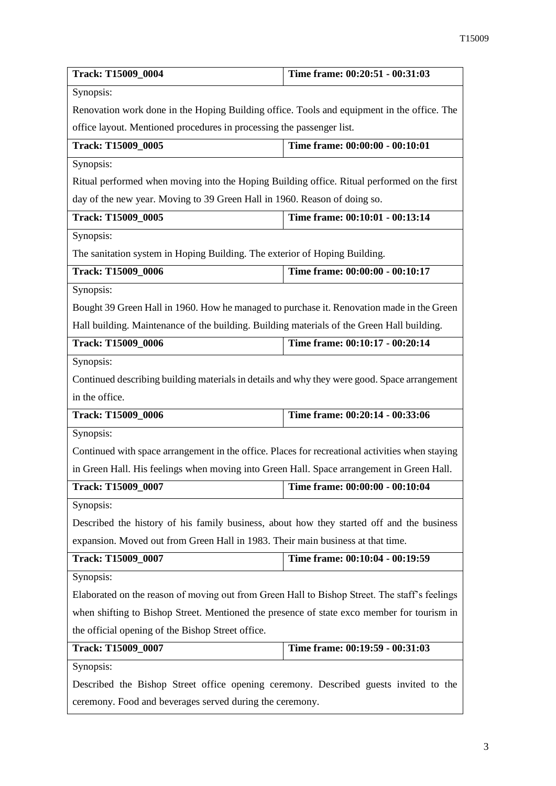| Track: T15009_0004                                                                              | Time frame: 00:20:51 - 00:31:03 |
|-------------------------------------------------------------------------------------------------|---------------------------------|
| Synopsis:                                                                                       |                                 |
| Renovation work done in the Hoping Building office. Tools and equipment in the office. The      |                                 |
| office layout. Mentioned procedures in processing the passenger list.                           |                                 |
| Track: T15009_0005                                                                              | Time frame: 00:00:00 - 00:10:01 |
| Synopsis:                                                                                       |                                 |
| Ritual performed when moving into the Hoping Building office. Ritual performed on the first     |                                 |
| day of the new year. Moving to 39 Green Hall in 1960. Reason of doing so.                       |                                 |
| <b>Track: T15009_0005</b>                                                                       | Time frame: 00:10:01 - 00:13:14 |
| Synopsis:                                                                                       |                                 |
| The sanitation system in Hoping Building. The exterior of Hoping Building.                      |                                 |
| Track: T15009_0006                                                                              | Time frame: 00:00:00 - 00:10:17 |
| Synopsis:                                                                                       |                                 |
| Bought 39 Green Hall in 1960. How he managed to purchase it. Renovation made in the Green       |                                 |
| Hall building. Maintenance of the building. Building materials of the Green Hall building.      |                                 |
| Track: T15009_0006                                                                              | Time frame: 00:10:17 - 00:20:14 |
| Synopsis:                                                                                       |                                 |
| Continued describing building materials in details and why they were good. Space arrangement    |                                 |
| in the office.                                                                                  |                                 |
| Track: T15009_0006                                                                              | Time frame: 00:20:14 - 00:33:06 |
| Synopsis:                                                                                       |                                 |
| Continued with space arrangement in the office. Places for recreational activities when staying |                                 |
| in Green Hall. His feelings when moving into Green Hall. Space arrangement in Green Hall.       |                                 |
| Track: T15009_0007                                                                              | Time frame: 00:00:00 - 00:10:04 |
| Synopsis:                                                                                       |                                 |
| Described the history of his family business, about how they started off and the business       |                                 |
| expansion. Moved out from Green Hall in 1983. Their main business at that time.                 |                                 |
| Track: T15009_0007                                                                              | Time frame: 00:10:04 - 00:19:59 |
| Synopsis:                                                                                       |                                 |
| Elaborated on the reason of moving out from Green Hall to Bishop Street. The staff's feelings   |                                 |
| when shifting to Bishop Street. Mentioned the presence of state exco member for tourism in      |                                 |
| the official opening of the Bishop Street office.                                               |                                 |
| Track: T15009_0007                                                                              | Time frame: 00:19:59 - 00:31:03 |
| Synopsis:                                                                                       |                                 |
| Described the Bishop Street office opening ceremony. Described guests invited to the            |                                 |
| ceremony. Food and beverages served during the ceremony.                                        |                                 |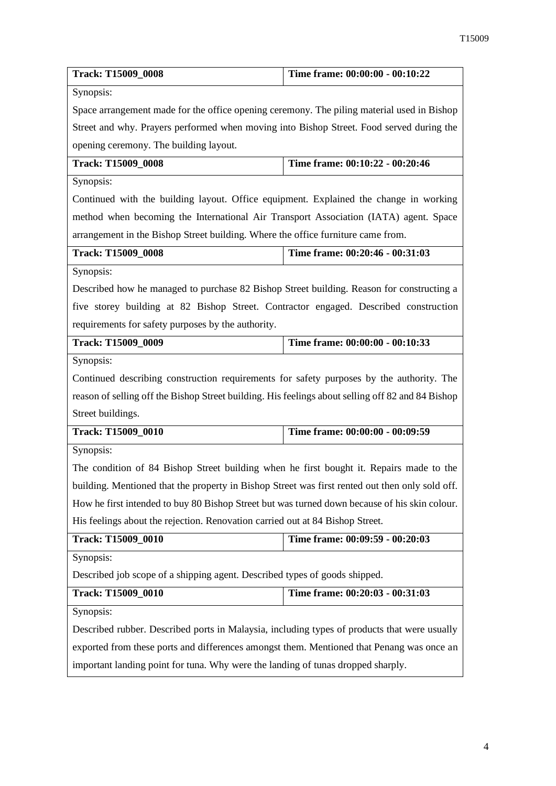| Track: T15009_0008                                                                                | Time frame: 00:00:00 - 00:10:22 |
|---------------------------------------------------------------------------------------------------|---------------------------------|
| Synopsis:                                                                                         |                                 |
| Space arrangement made for the office opening ceremony. The piling material used in Bishop        |                                 |
| Street and why. Prayers performed when moving into Bishop Street. Food served during the          |                                 |
| opening ceremony. The building layout.                                                            |                                 |
| <b>Track: T15009_0008</b>                                                                         | Time frame: 00:10:22 - 00:20:46 |
| Synopsis:                                                                                         |                                 |
| Continued with the building layout. Office equipment. Explained the change in working             |                                 |
| method when becoming the International Air Transport Association (IATA) agent. Space              |                                 |
| arrangement in the Bishop Street building. Where the office furniture came from.                  |                                 |
| <b>Track: T15009 0008</b>                                                                         | Time frame: 00:20:46 - 00:31:03 |
| Synopsis:                                                                                         |                                 |
| Described how he managed to purchase 82 Bishop Street building. Reason for constructing a         |                                 |
| five storey building at 82 Bishop Street. Contractor engaged. Described construction              |                                 |
| requirements for safety purposes by the authority.                                                |                                 |
| <b>Track: T15009_0009</b>                                                                         | Time frame: 00:00:00 - 00:10:33 |
| Synopsis:                                                                                         |                                 |
| Continued describing construction requirements for safety purposes by the authority. The          |                                 |
| reason of selling off the Bishop Street building. His feelings about selling off 82 and 84 Bishop |                                 |
| Street buildings.                                                                                 |                                 |
| <b>Track: T15009 0010</b>                                                                         | Time frame: 00:00:00 - 00:09:59 |
| Synopsis:                                                                                         |                                 |
| The condition of 84 Bishop Street building when he first bought it. Repairs made to the           |                                 |
| building. Mentioned that the property in Bishop Street was first rented out then only sold off.   |                                 |
| How he first intended to buy 80 Bishop Street but was turned down because of his skin colour.     |                                 |
| His feelings about the rejection. Renovation carried out at 84 Bishop Street.                     |                                 |
| Track: T15009_0010                                                                                | Time frame: 00:09:59 - 00:20:03 |
| Synopsis:                                                                                         |                                 |
| Described job scope of a shipping agent. Described types of goods shipped.                        |                                 |
| <b>Track: T15009 0010</b>                                                                         | Time frame: 00:20:03 - 00:31:03 |
| Synopsis:                                                                                         |                                 |
| Described rubber. Described ports in Malaysia, including types of products that were usually      |                                 |
| exported from these ports and differences amongst them. Mentioned that Penang was once an         |                                 |
| important landing point for tuna. Why were the landing of tunas dropped sharply.                  |                                 |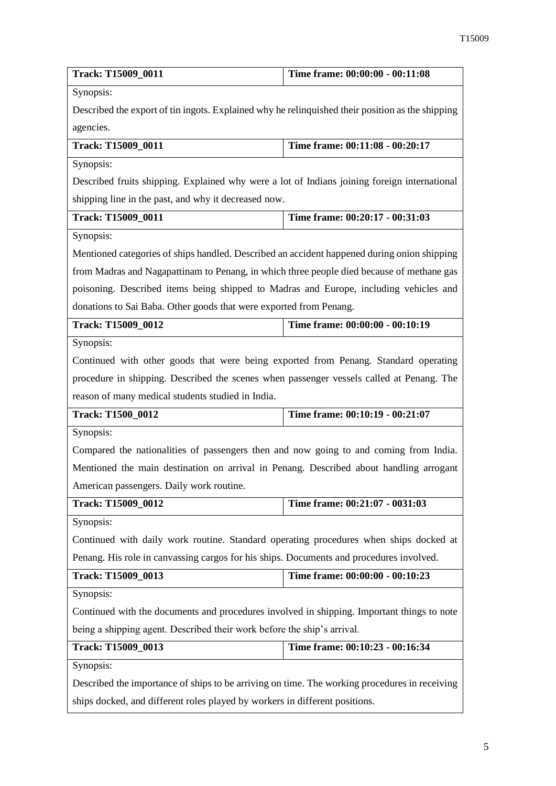| Track: T15009_0011                                                                               | Time frame: 00:00:00 - 00:11:08 |
|--------------------------------------------------------------------------------------------------|---------------------------------|
| Synopsis:                                                                                        |                                 |
| Described the export of tin ingots. Explained why he relinquished their position as the shipping |                                 |
| agencies.                                                                                        |                                 |
| Track: T15009_0011                                                                               | Time frame: 00:11:08 - 00:20:17 |
| Synopsis:                                                                                        |                                 |
| Described fruits shipping. Explained why were a lot of Indians joining foreign international     |                                 |
| shipping line in the past, and why it decreased now.                                             |                                 |
| Track: T15009_0011                                                                               | Time frame: 00:20:17 - 00:31:03 |
| Synopsis:                                                                                        |                                 |
| Mentioned categories of ships handled. Described an accident happened during onion shipping      |                                 |
| from Madras and Nagapattinam to Penang, in which three people died because of methane gas        |                                 |
| poisoning. Described items being shipped to Madras and Europe, including vehicles and            |                                 |
| donations to Sai Baba. Other goods that were exported from Penang.                               |                                 |
| Track: T15009_0012                                                                               | Time frame: 00:00:00 - 00:10:19 |
| Synopsis:                                                                                        |                                 |
| Continued with other goods that were being exported from Penang. Standard operating              |                                 |
| procedure in shipping. Described the scenes when passenger vessels called at Penang. The         |                                 |
| reason of many medical students studied in India.                                                |                                 |
| Track: T1500_0012                                                                                | Time frame: 00:10:19 - 00:21:07 |
| Synopsis:                                                                                        |                                 |
| Compared the nationalities of passengers then and now going to and coming from India.            |                                 |
| Mentioned the main destination on arrival in Penang. Described about handling arrogant           |                                 |
| American passengers. Daily work routine.                                                         |                                 |
| Track: T15009_0012                                                                               | Time frame: 00:21:07 - 0031:03  |
| Synopsis:                                                                                        |                                 |
| Continued with daily work routine. Standard operating procedures when ships docked at            |                                 |
| Penang. His role in canvassing cargos for his ships. Documents and procedures involved.          |                                 |
| Track: T15009_0013                                                                               | Time frame: 00:00:00 - 00:10:23 |
| Synopsis:                                                                                        |                                 |
| Continued with the documents and procedures involved in shipping. Important things to note       |                                 |
| being a shipping agent. Described their work before the ship's arrival.                          |                                 |
| Track: T15009_0013                                                                               | Time frame: 00:10:23 - 00:16:34 |
| Synopsis:                                                                                        |                                 |
| Described the importance of ships to be arriving on time. The working procedures in receiving    |                                 |
|                                                                                                  |                                 |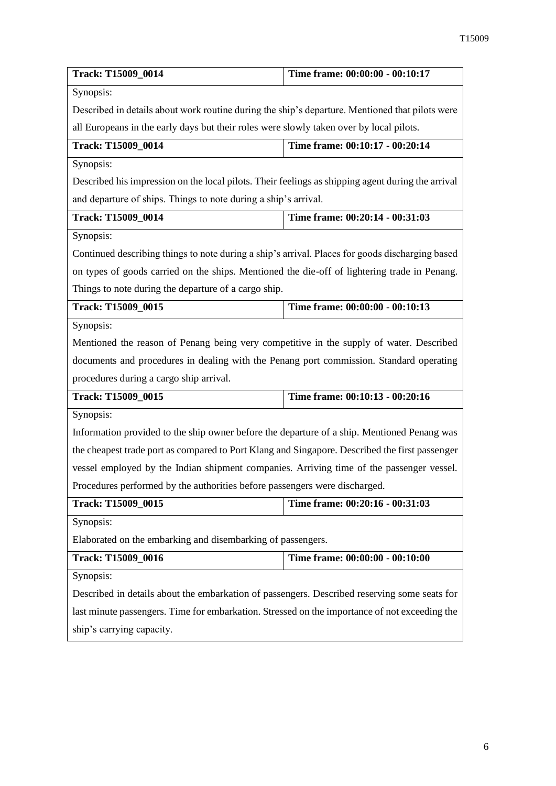| Track: T15009_0014                                                                                | Time frame: 00:00:00 - 00:10:17                                                         |  |
|---------------------------------------------------------------------------------------------------|-----------------------------------------------------------------------------------------|--|
| Synopsis:                                                                                         |                                                                                         |  |
| Described in details about work routine during the ship's departure. Mentioned that pilots were   |                                                                                         |  |
|                                                                                                   | all Europeans in the early days but their roles were slowly taken over by local pilots. |  |
| Track: T15009_0014                                                                                | Time frame: 00:10:17 - 00:20:14                                                         |  |
| Synopsis:                                                                                         |                                                                                         |  |
| Described his impression on the local pilots. Their feelings as shipping agent during the arrival |                                                                                         |  |
| and departure of ships. Things to note during a ship's arrival.                                   |                                                                                         |  |
| <b>Track: T15009_0014</b>                                                                         | Time frame: 00:20:14 - 00:31:03                                                         |  |
| Synopsis:                                                                                         |                                                                                         |  |
| Continued describing things to note during a ship's arrival. Places for goods discharging based   |                                                                                         |  |
| on types of goods carried on the ships. Mentioned the die-off of lightering trade in Penang.      |                                                                                         |  |
| Things to note during the departure of a cargo ship.                                              |                                                                                         |  |
| Track: T15009 0015                                                                                | Time frame: 00:00:00 - 00:10:13                                                         |  |
| Synopsis:                                                                                         |                                                                                         |  |
| Mentioned the reason of Penang being very competitive in the supply of water. Described           |                                                                                         |  |
| documents and procedures in dealing with the Penang port commission. Standard operating           |                                                                                         |  |
| procedures during a cargo ship arrival.                                                           |                                                                                         |  |
| Track: T15009_0015                                                                                | Time frame: 00:10:13 - 00:20:16                                                         |  |
| Synopsis:                                                                                         |                                                                                         |  |
| Information provided to the ship owner before the departure of a ship. Mentioned Penang was       |                                                                                         |  |
| the cheapest trade port as compared to Port Klang and Singapore. Described the first passenger    |                                                                                         |  |
| vessel employed by the Indian shipment companies. Arriving time of the passenger vessel.          |                                                                                         |  |
| Procedures performed by the authorities before passengers were discharged.                        |                                                                                         |  |
| Track: T15009_0015                                                                                | Time frame: 00:20:16 - 00:31:03                                                         |  |
| Synopsis:                                                                                         |                                                                                         |  |
| Elaborated on the embarking and disembarking of passengers.                                       |                                                                                         |  |
| Track: T15009_0016                                                                                | Time frame: 00:00:00 - 00:10:00                                                         |  |
| Synopsis:                                                                                         |                                                                                         |  |
| Described in details about the embarkation of passengers. Described reserving some seats for      |                                                                                         |  |
| last minute passengers. Time for embarkation. Stressed on the importance of not exceeding the     |                                                                                         |  |
| ship's carrying capacity.                                                                         |                                                                                         |  |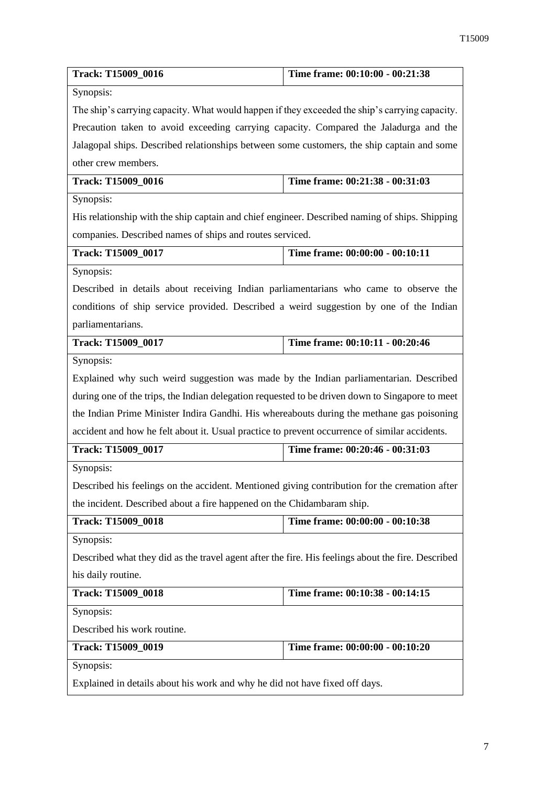| Track: T15009_0016                                                                                 | Time frame: 00:10:00 - 00:21:38 |
|----------------------------------------------------------------------------------------------------|---------------------------------|
| Synopsis:                                                                                          |                                 |
| The ship's carrying capacity. What would happen if they exceeded the ship's carrying capacity.     |                                 |
| Precaution taken to avoid exceeding carrying capacity. Compared the Jaladurga and the              |                                 |
| Jalagopal ships. Described relationships between some customers, the ship captain and some         |                                 |
| other crew members.                                                                                |                                 |
| <b>Track: T15009_0016</b>                                                                          | Time frame: 00:21:38 - 00:31:03 |
| Synopsis:                                                                                          |                                 |
| His relationship with the ship captain and chief engineer. Described naming of ships. Shipping     |                                 |
| companies. Described names of ships and routes serviced.                                           |                                 |
| Track: T15009_0017                                                                                 | Time frame: 00:00:00 - 00:10:11 |
| Synopsis:                                                                                          |                                 |
| Described in details about receiving Indian parliamentarians who came to observe the               |                                 |
| conditions of ship service provided. Described a weird suggestion by one of the Indian             |                                 |
| parliamentarians.                                                                                  |                                 |
| <b>Track: T15009_0017</b>                                                                          | Time frame: 00:10:11 - 00:20:46 |
| Synopsis:                                                                                          |                                 |
| Explained why such weird suggestion was made by the Indian parliamentarian. Described              |                                 |
| during one of the trips, the Indian delegation requested to be driven down to Singapore to meet    |                                 |
| the Indian Prime Minister Indira Gandhi. His whereabouts during the methane gas poisoning          |                                 |
| accident and how he felt about it. Usual practice to prevent occurrence of similar accidents.      |                                 |
| Track: T15009_0017                                                                                 | Time frame: 00:20:46 - 00:31:03 |
| Synopsis:                                                                                          |                                 |
| Described his feelings on the accident. Mentioned giving contribution for the cremation after      |                                 |
| the incident. Described about a fire happened on the Chidambaram ship.                             |                                 |
| <b>Track: T15009_0018</b>                                                                          | Time frame: 00:00:00 - 00:10:38 |
| Synopsis:                                                                                          |                                 |
| Described what they did as the travel agent after the fire. His feelings about the fire. Described |                                 |
| his daily routine.                                                                                 |                                 |
| <b>Track: T15009_0018</b>                                                                          | Time frame: 00:10:38 - 00:14:15 |
| Synopsis:                                                                                          |                                 |
| Described his work routine.                                                                        |                                 |
| Track: T15009_0019                                                                                 | Time frame: 00:00:00 - 00:10:20 |
| Synopsis:                                                                                          |                                 |
| Explained in details about his work and why he did not have fixed off days.                        |                                 |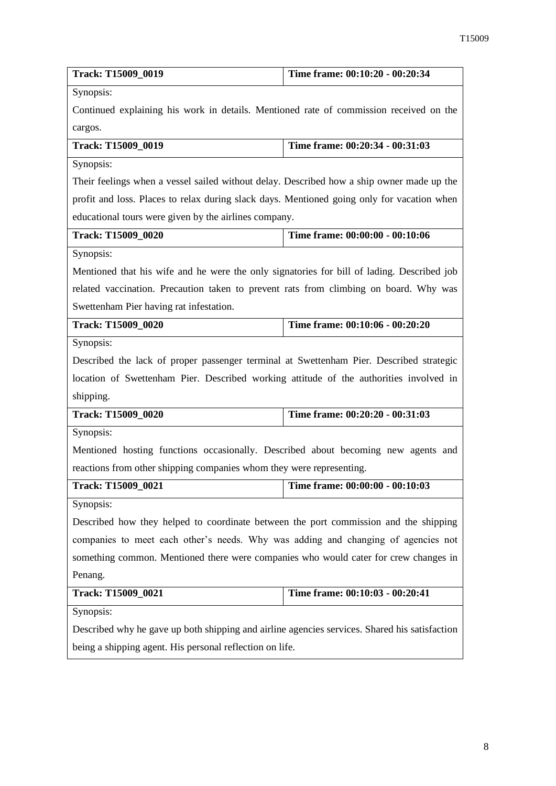| Track: T15009_0019                                                                            | Time frame: 00:10:20 - 00:20:34 |
|-----------------------------------------------------------------------------------------------|---------------------------------|
| Synopsis:                                                                                     |                                 |
| Continued explaining his work in details. Mentioned rate of commission received on the        |                                 |
| cargos.                                                                                       |                                 |
| Track: T15009_0019                                                                            | Time frame: 00:20:34 - 00:31:03 |
| Synopsis:                                                                                     |                                 |
| Their feelings when a vessel sailed without delay. Described how a ship owner made up the     |                                 |
| profit and loss. Places to relax during slack days. Mentioned going only for vacation when    |                                 |
| educational tours were given by the airlines company.                                         |                                 |
| Track: T15009_0020                                                                            | Time frame: 00:00:00 - 00:10:06 |
| Synopsis:                                                                                     |                                 |
| Mentioned that his wife and he were the only signatories for bill of lading. Described job    |                                 |
| related vaccination. Precaution taken to prevent rats from climbing on board. Why was         |                                 |
| Swettenham Pier having rat infestation.                                                       |                                 |
| Track: T15009_0020                                                                            | Time frame: 00:10:06 - 00:20:20 |
| Synopsis:                                                                                     |                                 |
| Described the lack of proper passenger terminal at Swettenham Pier. Described strategic       |                                 |
| location of Swettenham Pier. Described working attitude of the authorities involved in        |                                 |
| shipping.                                                                                     |                                 |
| Track: T15009_0020                                                                            | Time frame: 00:20:20 - 00:31:03 |
| Synopsis:                                                                                     |                                 |
| Mentioned hosting functions occasionally. Described about becoming new agents and             |                                 |
| reactions from other shipping companies whom they were representing.                          |                                 |
| <b>Track: T15009 0021</b>                                                                     | Time frame: 00:00:00 - 00:10:03 |
| Synopsis:                                                                                     |                                 |
| Described how they helped to coordinate between the port commission and the shipping          |                                 |
| companies to meet each other's needs. Why was adding and changing of agencies not             |                                 |
| something common. Mentioned there were companies who would cater for crew changes in          |                                 |
| Penang.                                                                                       |                                 |
| Track: T15009_0021                                                                            | Time frame: 00:10:03 - 00:20:41 |
| Synopsis:                                                                                     |                                 |
| Described why he gave up both shipping and airline agencies services. Shared his satisfaction |                                 |
| being a shipping agent. His personal reflection on life.                                      |                                 |